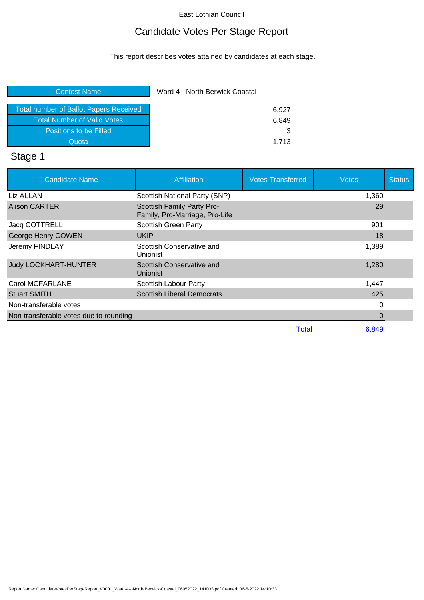# Candidate Votes Per Stage Report

This report describes votes attained by candidates at each stage.

| <b>Contest Name</b>                           | Ward 4 - North Berwick Coastal |  |
|-----------------------------------------------|--------------------------------|--|
| <b>Total number of Ballot Papers Received</b> | 6.927                          |  |
| <b>Total Number of Valid Votes</b>            | 6.849                          |  |
| Positions to be Filled                        | 3                              |  |
| Quota                                         | 1.713                          |  |
|                                               |                                |  |

# Stage 1

| <b>Candidate Name</b>                  | Affiliation                                                  | <b>Votes Transferred</b> | <b>Votes</b> | <b>Status</b> |
|----------------------------------------|--------------------------------------------------------------|--------------------------|--------------|---------------|
| Liz ALLAN                              | Scottish National Party (SNP)                                |                          | 1,360        |               |
| <b>Alison CARTER</b>                   | Scottish Family Party Pro-<br>Family, Pro-Marriage, Pro-Life |                          | 29           |               |
| Jacq COTTRELL                          | <b>Scottish Green Party</b>                                  |                          | 901          |               |
| George Henry COWEN                     | <b>UKIP</b>                                                  |                          | 18           |               |
| Jeremy FINDLAY                         | Scottish Conservative and<br>Unionist                        |                          | 1,389        |               |
| <b>Judy LOCKHART-HUNTER</b>            | Scottish Conservative and<br>Unionist                        |                          | 1,280        |               |
| <b>Carol MCFARLANE</b>                 | Scottish Labour Party                                        |                          | 1,447        |               |
| <b>Stuart SMITH</b>                    | <b>Scottish Liberal Democrats</b>                            |                          | 425          |               |
| Non-transferable votes                 |                                                              |                          | 0            |               |
| Non-transferable votes due to rounding |                                                              |                          | 0            |               |
|                                        |                                                              | <b>Total</b>             | 6,849        |               |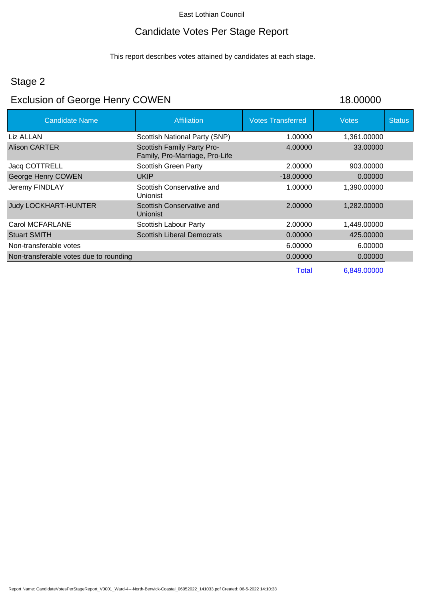### Candidate Votes Per Stage Report

This report describes votes attained by candidates at each stage.

#### Stage 2

# Exclusion of George Henry COWEN 18.00000

| <b>Candidate Name</b>                  | <b>Affiliation</b>                                           | <b>Votes Transferred</b> | <b>Votes</b> | <b>Status</b> |
|----------------------------------------|--------------------------------------------------------------|--------------------------|--------------|---------------|
| Liz ALLAN                              | Scottish National Party (SNP)                                | 1.00000                  | 1,361.00000  |               |
| Alison CARTER                          | Scottish Family Party Pro-<br>Family, Pro-Marriage, Pro-Life | 4.00000                  | 33.00000     |               |
| Jacq COTTRELL                          | <b>Scottish Green Party</b>                                  | 2.00000                  | 903.00000    |               |
| George Henry COWEN                     | <b>UKIP</b>                                                  | $-18,00000$              | 0.00000      |               |
| Jeremy FINDLAY                         | Scottish Conservative and<br>Unionist                        | 1.00000                  | 1,390.00000  |               |
| <b>Judy LOCKHART-HUNTER</b>            | Scottish Conservative and<br><b>Unionist</b>                 | 2.00000                  | 1,282.00000  |               |
| Carol MCFARLANE                        | Scottish Labour Party                                        | 2.00000                  | 1,449.00000  |               |
| <b>Stuart SMITH</b>                    | <b>Scottish Liberal Democrats</b>                            | 0.00000                  | 425.00000    |               |
| Non-transferable votes                 |                                                              | 6.00000                  | 6.00000      |               |
| Non-transferable votes due to rounding |                                                              | 0.00000                  | 0.00000      |               |
|                                        |                                                              | <b>Total</b>             | 6,849.00000  |               |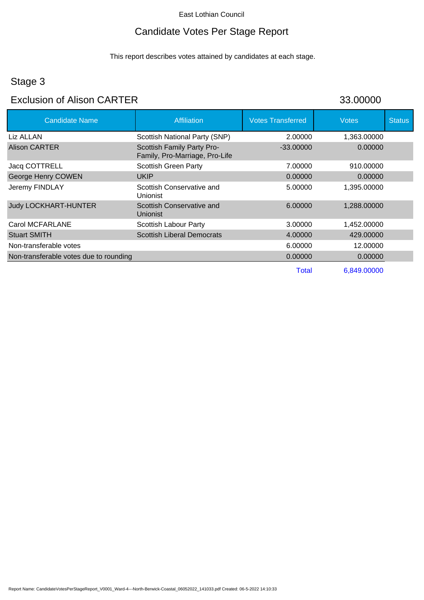# Candidate Votes Per Stage Report

This report describes votes attained by candidates at each stage.

# Stage 3

#### Exclusion of Alison CARTER 33.00000

| <b>Candidate Name</b>                  | <b>Affiliation</b>                                           | <b>Votes Transferred</b> | <b>Votes</b> | <b>Status</b> |
|----------------------------------------|--------------------------------------------------------------|--------------------------|--------------|---------------|
| Liz ALLAN                              | Scottish National Party (SNP)                                | 2.00000                  | 1,363.00000  |               |
| Alison CARTER                          | Scottish Family Party Pro-<br>Family, Pro-Marriage, Pro-Life | $-33,00000$              | 0.00000      |               |
| Jacq COTTRELL                          | <b>Scottish Green Party</b>                                  | 7.00000                  | 910.00000    |               |
| George Henry COWEN                     | <b>UKIP</b>                                                  | 0.00000                  | 0.00000      |               |
| Jeremy FINDLAY                         | Scottish Conservative and<br>Unionist                        | 5.00000                  | 1,395.00000  |               |
| <b>Judy LOCKHART-HUNTER</b>            | Scottish Conservative and<br><b>Unionist</b>                 | 6.00000                  | 1,288.00000  |               |
| Carol MCFARLANE                        | <b>Scottish Labour Party</b>                                 | 3.00000                  | 1,452.00000  |               |
| <b>Stuart SMITH</b>                    | <b>Scottish Liberal Democrats</b>                            | 4.00000                  | 429,00000    |               |
| Non-transferable votes                 |                                                              | 6.00000                  | 12.00000     |               |
| Non-transferable votes due to rounding |                                                              | 0.00000                  | 0.00000      |               |
|                                        |                                                              | <b>Total</b>             | 6,849.00000  |               |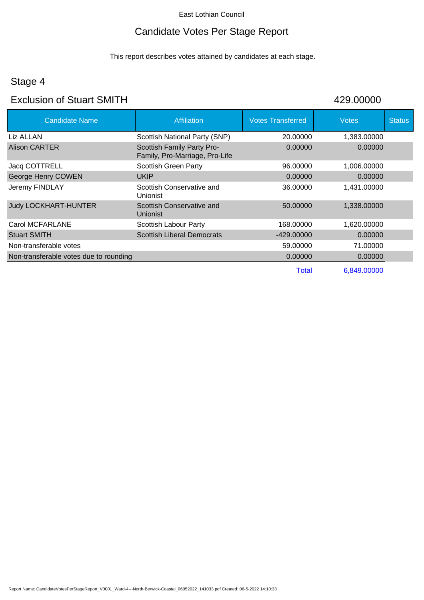### Candidate Votes Per Stage Report

This report describes votes attained by candidates at each stage.

### Stage 4

#### Exclusion of Stuart SMITH 429.00000

| <b>Candidate Name</b>                  | <b>Affiliation</b>                                           | <b>Votes Transferred</b> | Votes       | <b>Status</b> |
|----------------------------------------|--------------------------------------------------------------|--------------------------|-------------|---------------|
| Liz ALLAN                              | Scottish National Party (SNP)                                | 20.00000                 | 1,383.00000 |               |
| <b>Alison CARTER</b>                   | Scottish Family Party Pro-<br>Family, Pro-Marriage, Pro-Life | 0.00000                  | 0.00000     |               |
| Jacq COTTRELL                          | <b>Scottish Green Party</b>                                  | 96.00000                 | 1,006.00000 |               |
| George Henry COWEN                     | <b>UKIP</b>                                                  | 0.00000                  | 0.00000     |               |
| Jeremy FINDLAY                         | Scottish Conservative and<br><b>Unionist</b>                 | 36,00000                 | 1,431.00000 |               |
| <b>Judy LOCKHART-HUNTER</b>            | Scottish Conservative and<br><b>Unionist</b>                 | 50.00000                 | 1,338.00000 |               |
| Carol MCFARLANE                        | Scottish Labour Party                                        | 168.00000                | 1,620.00000 |               |
| <b>Stuart SMITH</b>                    | <b>Scottish Liberal Democrats</b>                            | -429.00000               | 0.00000     |               |
| Non-transferable votes                 |                                                              | 59.00000                 | 71.00000    |               |
| Non-transferable votes due to rounding |                                                              | 0.00000                  | 0.00000     |               |
|                                        |                                                              | Total                    | 6,849.00000 |               |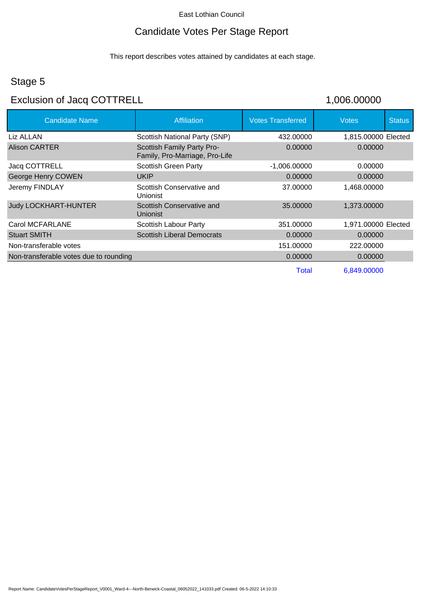### Candidate Votes Per Stage Report

This report describes votes attained by candidates at each stage.

### Stage 5

### Exclusion of Jacq COTTRELL 1,006.00000

| <b>Candidate Name</b>                  | Affiliation                                                  | <b>Votes Transferred</b> | Votes               | <b>Status</b> |
|----------------------------------------|--------------------------------------------------------------|--------------------------|---------------------|---------------|
| Liz ALLAN                              | Scottish National Party (SNP)                                | 432,00000                | 1,815.00000 Elected |               |
| <b>Alison CARTER</b>                   | Scottish Family Party Pro-<br>Family, Pro-Marriage, Pro-Life | 0.00000                  | 0.00000             |               |
| Jacq COTTRELL                          | <b>Scottish Green Party</b>                                  | $-1,006.00000$           | 0.00000             |               |
| George Henry COWEN                     | <b>UKIP</b>                                                  | 0.00000                  | 0.00000             |               |
| Jeremy FINDLAY                         | Scottish Conservative and<br>Unionist                        | 37,00000                 | 1,468.00000         |               |
| <b>Judy LOCKHART-HUNTER</b>            | Scottish Conservative and<br>Unionist                        | 35,00000                 | 1,373.00000         |               |
| Carol MCFARLANE                        | Scottish Labour Party                                        | 351.00000                | 1,971.00000 Elected |               |
| <b>Stuart SMITH</b>                    | <b>Scottish Liberal Democrats</b>                            | 0.00000                  | 0.00000             |               |
| Non-transferable votes                 |                                                              | 151.00000                | 222,00000           |               |
| Non-transferable votes due to rounding |                                                              | 0.00000                  | 0.00000             |               |
|                                        |                                                              | Total                    | 6,849.00000         |               |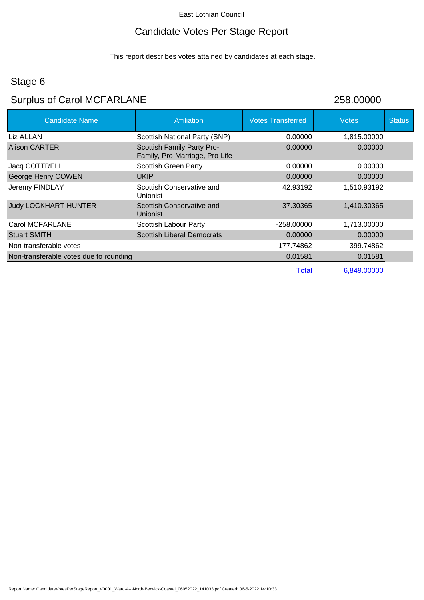# Candidate Votes Per Stage Report

This report describes votes attained by candidates at each stage.

# Stage 6

# Surplus of Carol MCFARLANE 258.00000

| <b>Candidate Name</b>                  | <b>Affiliation</b>                                           | <b>Votes Transferred</b> | <b>Votes</b> | <b>Status</b> |
|----------------------------------------|--------------------------------------------------------------|--------------------------|--------------|---------------|
| Liz ALLAN                              | Scottish National Party (SNP)                                | 0.00000                  | 1,815.00000  |               |
| Alison CARTER                          | Scottish Family Party Pro-<br>Family, Pro-Marriage, Pro-Life | 0.00000                  | 0.00000      |               |
| Jacq COTTRELL                          | <b>Scottish Green Party</b>                                  | 0.00000                  | 0.00000      |               |
| George Henry COWEN                     | <b>UKIP</b>                                                  | 0.00000                  | 0.00000      |               |
| Jeremy FINDLAY                         | Scottish Conservative and<br>Unionist                        | 42.93192                 | 1,510.93192  |               |
| <b>Judy LOCKHART-HUNTER</b>            | Scottish Conservative and<br><b>Unionist</b>                 | 37.30365                 | 1,410.30365  |               |
| Carol MCFARLANE                        | <b>Scottish Labour Party</b>                                 | $-258.00000$             | 1,713.00000  |               |
| <b>Stuart SMITH</b>                    | <b>Scottish Liberal Democrats</b>                            | 0.00000                  | 0.00000      |               |
| Non-transferable votes                 |                                                              | 177.74862                | 399.74862    |               |
| Non-transferable votes due to rounding |                                                              | 0.01581                  | 0.01581      |               |
|                                        |                                                              | <b>Total</b>             | 6,849.00000  |               |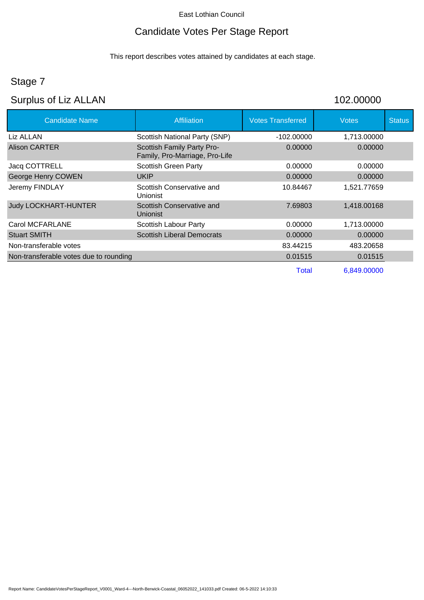# Candidate Votes Per Stage Report

This report describes votes attained by candidates at each stage.

# Stage 7

# Surplus of Liz ALLAN 102.00000

| <b>Candidate Name</b>                  | <b>Affiliation</b>                                           | <b>Votes Transferred</b> | <b>Votes</b> | <b>Status</b> |
|----------------------------------------|--------------------------------------------------------------|--------------------------|--------------|---------------|
| Liz ALLAN                              | Scottish National Party (SNP)                                | $-102.00000$             | 1,713.00000  |               |
| <b>Alison CARTER</b>                   | Scottish Family Party Pro-<br>Family, Pro-Marriage, Pro-Life | 0.00000                  | 0.00000      |               |
| Jacq COTTRELL                          | <b>Scottish Green Party</b>                                  | 0.00000                  | 0.00000      |               |
| George Henry COWEN                     | <b>UKIP</b>                                                  | 0.00000                  | 0.00000      |               |
| Jeremy FINDLAY                         | Scottish Conservative and<br>Unionist                        | 10.84467                 | 1.521.77659  |               |
| <b>Judy LOCKHART-HUNTER</b>            | Scottish Conservative and<br>Unionist                        | 7.69803                  | 1,418.00168  |               |
| <b>Carol MCFARLANE</b>                 | Scottish Labour Party                                        | 0.00000                  | 1,713.00000  |               |
| <b>Stuart SMITH</b>                    | <b>Scottish Liberal Democrats</b>                            | 0.00000                  | 0.00000      |               |
| Non-transferable votes                 |                                                              | 83.44215                 | 483.20658    |               |
| Non-transferable votes due to rounding |                                                              | 0.01515                  | 0.01515      |               |
|                                        |                                                              | Total                    | 6,849.00000  |               |